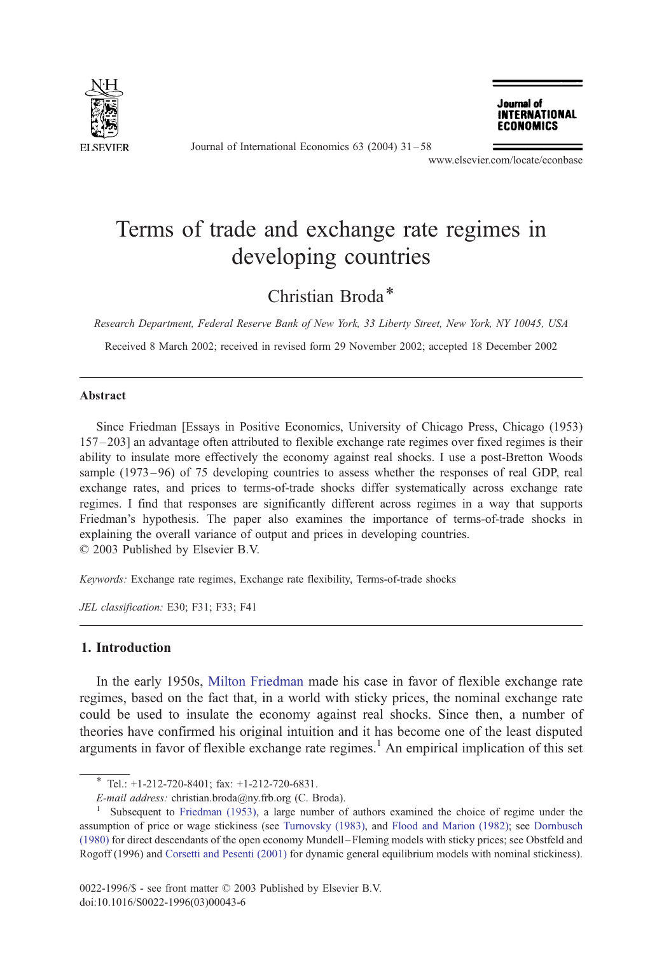

Journal of International Economics 63 (2004) 31 – 58

Journal of **INTERNATIONAL ECONOMICS** 

www.elsevier.com/locate/econbase

## Terms of trade and exchange rate regimes in developing countries

### Christian Broda\*

Research Department, Federal Reserve Bank of New York, 33 Liberty Street, New York, NY 10045, USA

Received 8 March 2002; received in revised form 29 November 2002; accepted 18 December 2002

#### Abstract

Since Friedman [Essays in Positive Economics, University of Chicago Press, Chicago (1953) 157 – 203] an advantage often attributed to flexible exchange rate regimes over fixed regimes is their ability to insulate more effectively the economy against real shocks. I use a post-Bretton Woods sample (1973–96) of 75 developing countries to assess whether the responses of real GDP, real exchange rates, and prices to terms-of-trade shocks differ systematically across exchange rate regimes. I find that responses are significantly different across regimes in a way that supports Friedman's hypothesis. The paper also examines the importance of terms-of-trade shocks in explaining the overall variance of output and prices in developing countries.  $© 2003$  Published by Elsevier B.V.

Keywords: Exchange rate regimes, Exchange rate flexibility, Terms-of-trade shocks

JEL classification: E30; F31; F33; F41

### 1. Introduction

In the early 1950s, [Milton Friedman](#page--1-0) made his case in favor of flexible exchange rate regimes, based on the fact that, in a world with sticky prices, the nominal exchange rate could be used to insulate the economy against real shocks. Since then, a number of theories have confirmed his original intuition and it has become one of the least disputed arguments in favor of flexible exchange rate regimes.<sup>1</sup> An empirical implication of this set

 $*$  Tel.: +1-212-720-8401; fax: +1-212-720-6831.

E-mail address: christian.broda@ny.frb.org (C. Broda).<br><sup>1</sup> Subsequent to [Friedman \(1953\),](#page--1-0) a large number of authors examined the choice of regime under the assumption of price or wage stickiness (see [Turnovsky \(1983\),](#page--1-0) and [Flood and Marion \(1982\);](#page--1-0) see [Dornbusch](#page--1-0) (1980) for direct descendants of the open economy Mundell – Fleming models with sticky prices; see Obstfeld and Rogoff (1996) and [Corsetti and Pesenti \(2001\)](#page--1-0) for dynamic general equilibrium models with nominal stickiness).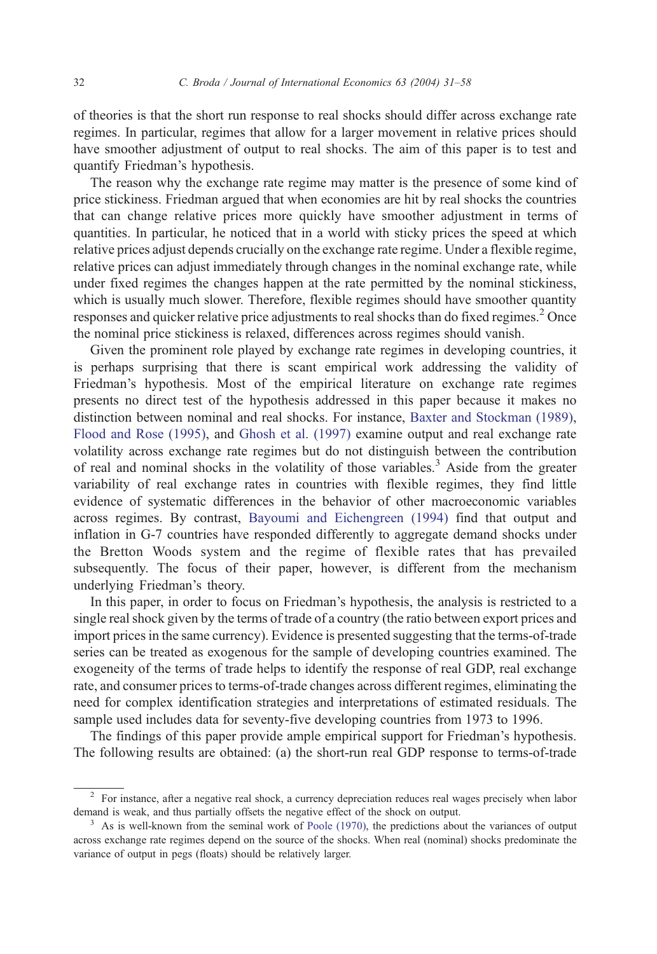of theories is that the short run response to real shocks should differ across exchange rate regimes. In particular, regimes that allow for a larger movement in relative prices should have smoother adjustment of output to real shocks. The aim of this paper is to test and quantify Friedman's hypothesis.

The reason why the exchange rate regime may matter is the presence of some kind of price stickiness. Friedman argued that when economies are hit by real shocks the countries that can change relative prices more quickly have smoother adjustment in terms of quantities. In particular, he noticed that in a world with sticky prices the speed at which relative prices adjust depends crucially on the exchange rate regime. Under a flexible regime, relative prices can adjust immediately through changes in the nominal exchange rate, while under fixed regimes the changes happen at the rate permitted by the nominal stickiness, which is usually much slower. Therefore, flexible regimes should have smoother quantity responses and quicker relative price adjustments to real shocks than do fixed regimes.<sup>2</sup> Once the nominal price stickiness is relaxed, differences across regimes should vanish.

Given the prominent role played by exchange rate regimes in developing countries, it is perhaps surprising that there is scant empirical work addressing the validity of Friedman's hypothesis. Most of the empirical literature on exchange rate regimes presents no direct test of the hypothesis addressed in this paper because it makes no distinction between nominal and real shocks. For instance, [Baxter and Stockman \(1989\),](#page--1-0) [Flood and Rose \(1995\),](#page--1-0) and [Ghosh et al. \(1997\)](#page--1-0) examine output and real exchange rate volatility across exchange rate regimes but do not distinguish between the contribution of real and nominal shocks in the volatility of those variables.<sup>3</sup> Aside from the greater variability of real exchange rates in countries with flexible regimes, they find little evidence of systematic differences in the behavior of other macroeconomic variables across regimes. By contrast, [Bayoumi and Eichengreen \(1994\)](#page--1-0) find that output and inflation in G-7 countries have responded differently to aggregate demand shocks under the Bretton Woods system and the regime of flexible rates that has prevailed subsequently. The focus of their paper, however, is different from the mechanism underlying Friedman's theory.

In this paper, in order to focus on Friedman's hypothesis, the analysis is restricted to a single real shock given by the terms of trade of a country (the ratio between export prices and import prices in the same currency). Evidence is presented suggesting that the terms-of-trade series can be treated as exogenous for the sample of developing countries examined. The exogeneity of the terms of trade helps to identify the response of real GDP, real exchange rate, and consumer prices to terms-of-trade changes across different regimes, eliminating the need for complex identification strategies and interpretations of estimated residuals. The sample used includes data for seventy-five developing countries from 1973 to 1996.

The findings of this paper provide ample empirical support for Friedman's hypothesis. The following results are obtained: (a) the short-run real GDP response to terms-of-trade

<sup>&</sup>lt;sup>2</sup> For instance, after a negative real shock, a currency depreciation reduces real wages precisely when labor demand is weak, and thus partially offsets the negative effect of the shock on output.

<sup>&</sup>lt;sup>3</sup> As is well-known from the seminal work of [Poole \(1970\),](#page--1-0) the predictions about the variances of output across exchange rate regimes depend on the source of the shocks. When real (nominal) shocks predominate the variance of output in pegs (floats) should be relatively larger.